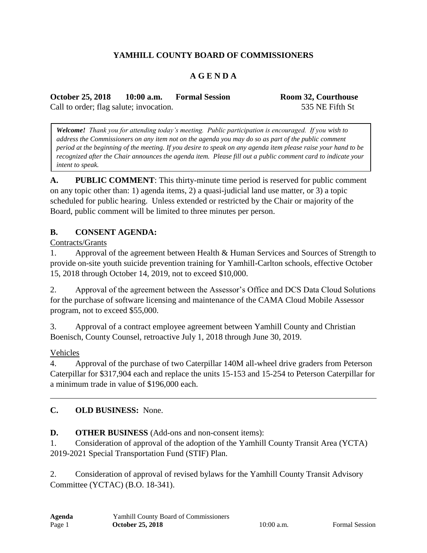# **YAMHILL COUNTY BOARD OF COMMISSIONERS**

## **A G E N D A**

**October 25, 2018 10:00 a.m. Formal Session Room 32, Courthouse** Call to order; flag salute; invocation. 535 NE Fifth St

*Welcome! Thank you for attending today's meeting. Public participation is encouraged. If you wish to address the Commissioners on any item not on the agenda you may do so as part of the public comment period at the beginning of the meeting. If you desire to speak on any agenda item please raise your hand to be recognized after the Chair announces the agenda item. Please fill out a public comment card to indicate your intent to speak.*

**A. PUBLIC COMMENT**: This thirty-minute time period is reserved for public comment on any topic other than: 1) agenda items, 2) a quasi-judicial land use matter, or 3) a topic scheduled for public hearing. Unless extended or restricted by the Chair or majority of the Board, public comment will be limited to three minutes per person.

### **B. CONSENT AGENDA:**

Contracts/Grants

1. Approval of the agreement between Health & Human Services and Sources of Strength to provide on-site youth suicide prevention training for Yamhill-Carlton schools, effective October 15, 2018 through October 14, 2019, not to exceed \$10,000.

2. Approval of the agreement between the Assessor's Office and DCS Data Cloud Solutions for the purchase of software licensing and maintenance of the CAMA Cloud Mobile Assessor program, not to exceed \$55,000.

3. Approval of a contract employee agreement between Yamhill County and Christian Boenisch, County Counsel, retroactive July 1, 2018 through June 30, 2019.

#### Vehicles

4. Approval of the purchase of two Caterpillar 140M all-wheel drive graders from Peterson Caterpillar for \$317,904 each and replace the units 15-153 and 15-254 to Peterson Caterpillar for a minimum trade in value of \$196,000 each.

## **C. OLD BUSINESS:** None.

**D. OTHER BUSINESS** (Add-ons and non-consent items):

1. Consideration of approval of the adoption of the Yamhill County Transit Area (YCTA) 2019-2021 Special Transportation Fund (STIF) Plan.

2. Consideration of approval of revised bylaws for the Yamhill County Transit Advisory Committee (YCTAC) (B.O. 18-341).